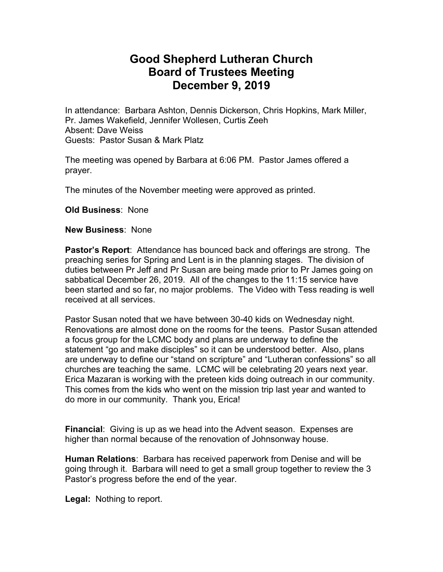## **Good Shepherd Lutheran Church Board of Trustees Meeting December 9, 2019**

In attendance: Barbara Ashton, Dennis Dickerson, Chris Hopkins, Mark Miller, Pr. James Wakefield, Jennifer Wollesen, Curtis Zeeh Absent: Dave Weiss Guests: Pastor Susan & Mark Platz

The meeting was opened by Barbara at 6:06 PM. Pastor James offered a prayer.

The minutes of the November meeting were approved as printed.

**Old Business**: None

**New Business**: None

**Pastor's Report**: Attendance has bounced back and offerings are strong. The preaching series for Spring and Lent is in the planning stages. The division of duties between Pr Jeff and Pr Susan are being made prior to Pr James going on sabbatical December 26, 2019. All of the changes to the 11:15 service have been started and so far, no major problems. The Video with Tess reading is well received at all services.

Pastor Susan noted that we have between 30-40 kids on Wednesday night. Renovations are almost done on the rooms for the teens. Pastor Susan attended a focus group for the LCMC body and plans are underway to define the statement "go and make disciples" so it can be understood better. Also, plans are underway to define our "stand on scripture" and "Lutheran confessions" so all churches are teaching the same. LCMC will be celebrating 20 years next year. Erica Mazaran is working with the preteen kids doing outreach in our community. This comes from the kids who went on the mission trip last year and wanted to do more in our community. Thank you, Erica!

**Financial**: Giving is up as we head into the Advent season. Expenses are higher than normal because of the renovation of Johnsonway house.

**Human Relations**: Barbara has received paperwork from Denise and will be going through it. Barbara will need to get a small group together to review the 3 Pastor's progress before the end of the year.

**Legal:** Nothing to report.